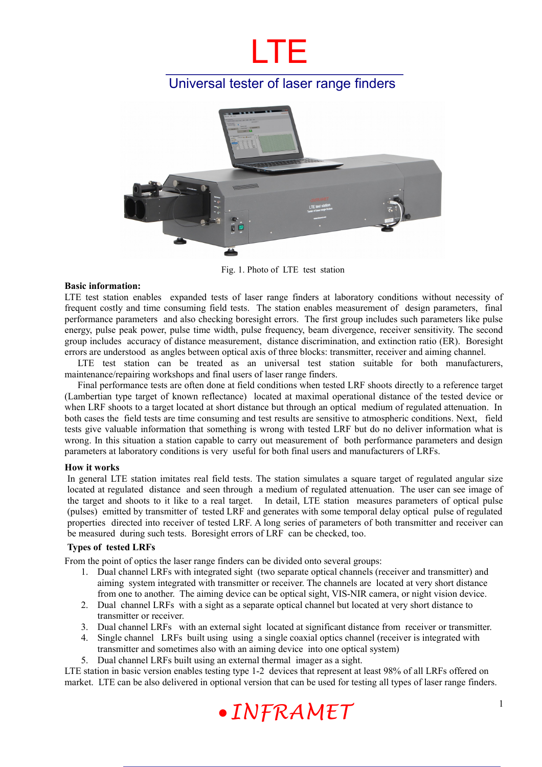# LTE

## Universal tester of laser range finders



Fig. 1. Photo of LTE test station

#### **Basic information:**

LTE test station enables expanded tests of laser range finders at laboratory conditions without necessity of frequent costly and time consuming field tests. The station enables measurement of design parameters, final performance parameters and also checking boresight errors. The first group includes such parameters like pulse energy, pulse peak power, pulse time width, pulse frequency, beam divergence, receiver sensitivity. The second group includes accuracy of distance measurement, distance discrimination, and extinction ratio (ER). Boresight errors are understood as angles between optical axis of three blocks: transmitter, receiver and aiming channel.

LTE test station can be treated as an universal test station suitable for both manufacturers, maintenance/repairing workshops and final users of laser range finders.

Final performance tests are often done at field conditions when tested LRF shoots directly to a reference target (Lambertian type target of known reflectance) located at maximal operational distance of the tested device or when LRF shoots to a target located at short distance but through an optical medium of regulated attenuation. In both cases the field tests are time consuming and test results are sensitive to atmospheric conditions. Next, field tests give valuable information that something is wrong with tested LRF but do no deliver information what is wrong. In this situation a station capable to carry out measurement of both performance parameters and design parameters at laboratory conditions is very useful for both final users and manufacturers of LRFs.

#### **How it works**

In general LTE station imitates real field tests. The station simulates a square target of regulated angular size located at regulated distance and seen through a medium of regulated attenuation. The user can see image of the target and shoots to it like to a real target. In detail, LTE station measures parameters of optical pulse (pulses) emitted by transmitter of tested LRF and generates with some temporal delay optical pulse of regulated properties directed into receiver of tested LRF. A long series of parameters of both transmitter and receiver can be measured during such tests. Boresight errors of LRF can be checked, too.

#### **Types of tested LRFs**

From the point of optics the laser range finders can be divided onto several groups:

- 1. Dual channel LRFs with integrated sight (two separate optical channels (receiver and transmitter) and aiming system integrated with transmitter or receiver. The channels are located at very short distance from one to another. The aiming device can be optical sight, VIS-NIR camera, or night vision device.
- 2. Dual channel LRFs with a sight as a separate optical channel but located at very short distance to transmitter or receiver.
- 3. Dual channel LRFs with an external sight located at significant distance from receiver or transmitter.
- 4. Single channel LRFs built using using a single coaxial optics channel (receiver is integrated with transmitter and sometimes also with an aiming device into one optical system)
- 5. Dual channel LRFs built using an external thermal imager as a sight.

LTE station in basic version enables testing type 1-2 devices that represent at least 98% of all LRFs offered on market. LTE can be also delivered in optional version that can be used for testing all types of laser range finders.

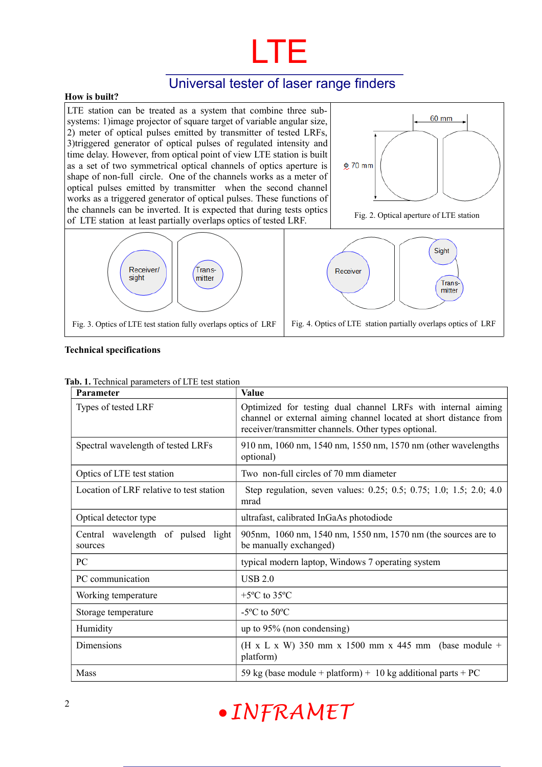

### Universal tester of laser range finders

#### **How is built?**

LTE station can be treated as a system that combine three subsystems: 1)image projector of square target of variable angular size, 2) meter of optical pulses emitted by transmitter of tested LRFs, 3)triggered generator of optical pulses of regulated intensity and time delay. However, from optical point of view LTE station is built as a set of two symmetrical optical channels of optics aperture is shape of non-full circle. One of the channels works as a meter of optical pulses emitted by transmitter when the second channel works as a triggered generator of optical pulses. These functions of the channels can be inverted. It is expected that during tests optics of LTE station at least partially overlaps optics of tested LRF. Fig. 2. Optical aperture of LTE station of LTE station

Trans-

mitter



#### **Technical specifications**

| <b>Parameter</b>                              | <b>Value</b>                                                                                                                                                                              |  |
|-----------------------------------------------|-------------------------------------------------------------------------------------------------------------------------------------------------------------------------------------------|--|
| Types of tested LRF                           | Optimized for testing dual channel LRFs with internal aiming<br>channel or external aiming channel located at short distance from<br>receiver/transmitter channels. Other types optional. |  |
| Spectral wavelength of tested LRFs            | 910 nm, 1060 nm, 1540 nm, 1550 nm, 1570 nm (other wavelengths<br>optional)                                                                                                                |  |
| Optics of LTE test station                    | Two non-full circles of 70 mm diameter                                                                                                                                                    |  |
| Location of LRF relative to test station      | Step regulation, seven values: 0.25; 0.5; 0.75; 1.0; 1.5; 2.0; 4.0<br>mrad                                                                                                                |  |
| Optical detector type                         | ultrafast, calibrated InGaAs photodiode                                                                                                                                                   |  |
| Central wavelength of pulsed light<br>sources | 905nm, 1060 nm, 1540 nm, 1550 nm, 1570 nm (the sources are to<br>be manually exchanged)                                                                                                   |  |
| PC                                            | typical modern laptop, Windows 7 operating system                                                                                                                                         |  |
| PC communication                              | <b>USB 2.0</b>                                                                                                                                                                            |  |
| Working temperature                           | +5 $\rm{^{\circ}C}$ to 35 $\rm{^{\circ}C}$                                                                                                                                                |  |
| Storage temperature                           | -5 $\rm{^oC}$ to 50 $\rm{^oC}$                                                                                                                                                            |  |
| Humidity                                      | up to $95\%$ (non condensing)                                                                                                                                                             |  |
| Dimensions                                    | (H x L x W) 350 mm x 1500 mm x 445 mm (base module +<br>platform)                                                                                                                         |  |
| Mass                                          | 59 kg (base module + platform) + 10 kg additional parts + PC                                                                                                                              |  |

#### **Tab. 1.** Technical parameters of LTE test station

Receiver/

sight

# <sup>2</sup> **INFRAMET**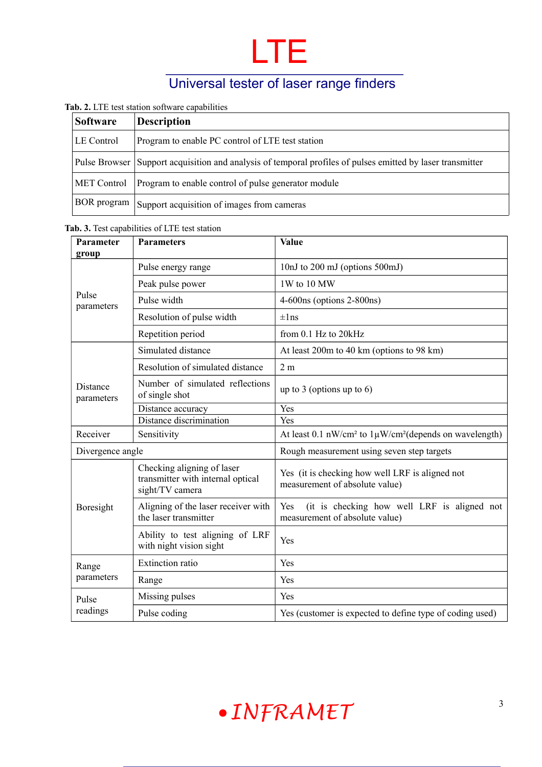

# Universal tester of laser range finders

#### **Tab. 2.** LTE test station software capabilities

| <b>Software</b>    | <b>Description</b>                                                                                         |  |
|--------------------|------------------------------------------------------------------------------------------------------------|--|
| LE Control         | Program to enable PC control of LTE test station                                                           |  |
|                    | Pulse Browser Support acquisition and analysis of temporal profiles of pulses emitted by laser transmitter |  |
| <b>MET Control</b> | Program to enable control of pulse generator module                                                        |  |
| <b>BOR</b> program | Support acquisition of images from cameras                                                                 |  |

#### **Tab. 3.** Test capabilities of LTE test station

| <b>Parameter</b><br>group | <b>Parameters</b>                                                                  | Value                                                                                |
|---------------------------|------------------------------------------------------------------------------------|--------------------------------------------------------------------------------------|
| Pulse<br>parameters       | Pulse energy range                                                                 | 10nJ to 200 mJ (options 500mJ)                                                       |
|                           | Peak pulse power                                                                   | 1W to 10 MW                                                                          |
|                           | Pulse width                                                                        | 4-600ns (options 2-800ns)                                                            |
|                           | Resolution of pulse width                                                          | $\pm$ lns                                                                            |
|                           | Repetition period                                                                  | from 0.1 Hz to 20kHz                                                                 |
| Distance<br>parameters    | Simulated distance                                                                 | At least 200m to 40 km (options to 98 km)                                            |
|                           | Resolution of simulated distance                                                   | 2 <sub>m</sub>                                                                       |
|                           | Number of simulated reflections<br>of single shot                                  | up to 3 (options up to 6)                                                            |
|                           | Distance accuracy                                                                  | Yes                                                                                  |
|                           | Distance discrimination                                                            | Yes                                                                                  |
| Receiver                  | Sensitivity                                                                        | At least 0.1 nW/cm <sup>2</sup> to 1µW/cm <sup>2</sup> (depends on wavelength)       |
| Divergence angle          |                                                                                    | Rough measurement using seven step targets                                           |
| Boresight                 | Checking aligning of laser<br>transmitter with internal optical<br>sight/TV camera | Yes (it is checking how well LRF is aligned not<br>measurement of absolute value)    |
|                           | Aligning of the laser receiver with<br>the laser transmitter                       | Yes<br>(it is checking how well LRF is aligned not<br>measurement of absolute value) |
|                           | Ability to test aligning of LRF<br>with night vision sight                         | Yes                                                                                  |
| Range<br>parameters       | <b>Extinction ratio</b>                                                            | Yes                                                                                  |
|                           | Range                                                                              | Yes                                                                                  |
| Pulse<br>readings         | Missing pulses                                                                     | Yes                                                                                  |
|                           | Pulse coding                                                                       | Yes (customer is expected to define type of coding used)                             |